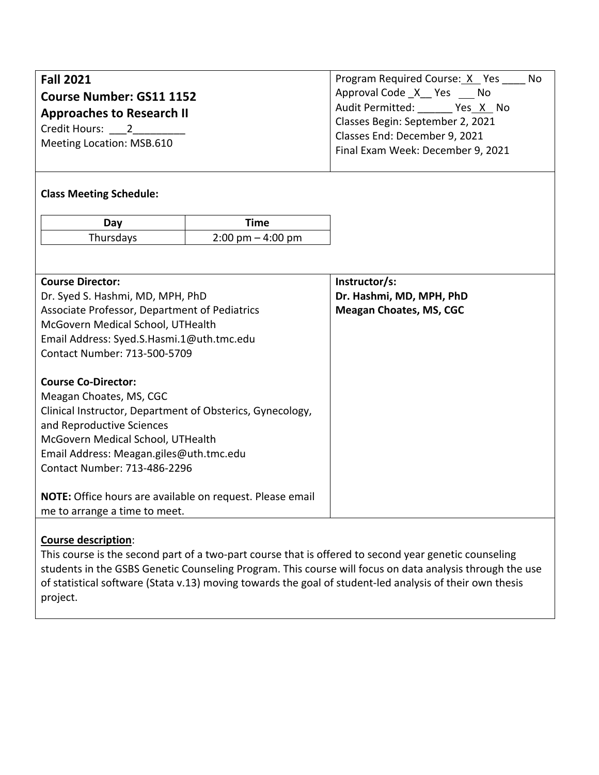| <b>Fall 2021</b><br><b>Course Number: GS11 1152</b><br><b>Approaches to Research II</b><br>Credit Hours: 2<br>Meeting Location: MSB.610 |                                     | Program Required Course: X Yes No<br>Approval Code X Yes No<br>Audit Permitted: Yes X No<br>Classes Begin: September 2, 2021<br>Classes End: December 9, 2021<br>Final Exam Week: December 9, 2021 |  |  |
|-----------------------------------------------------------------------------------------------------------------------------------------|-------------------------------------|----------------------------------------------------------------------------------------------------------------------------------------------------------------------------------------------------|--|--|
| <b>Class Meeting Schedule:</b>                                                                                                          |                                     |                                                                                                                                                                                                    |  |  |
| Day                                                                                                                                     | <b>Time</b>                         |                                                                                                                                                                                                    |  |  |
| Thursdays                                                                                                                               | $2:00 \text{ pm} - 4:00 \text{ pm}$ |                                                                                                                                                                                                    |  |  |
|                                                                                                                                         |                                     |                                                                                                                                                                                                    |  |  |
| <b>Course Director:</b>                                                                                                                 |                                     | Instructor/s:                                                                                                                                                                                      |  |  |
| Dr. Syed S. Hashmi, MD, MPH, PhD                                                                                                        |                                     | Dr. Hashmi, MD, MPH, PhD                                                                                                                                                                           |  |  |
| Associate Professor, Department of Pediatrics                                                                                           |                                     | <b>Meagan Choates, MS, CGC</b>                                                                                                                                                                     |  |  |
| McGovern Medical School, UTHealth                                                                                                       |                                     |                                                                                                                                                                                                    |  |  |
| Email Address: Syed.S.Hasmi.1@uth.tmc.edu                                                                                               |                                     |                                                                                                                                                                                                    |  |  |
| Contact Number: 713-500-5709                                                                                                            |                                     |                                                                                                                                                                                                    |  |  |
| <b>Course Co-Director:</b>                                                                                                              |                                     |                                                                                                                                                                                                    |  |  |
| Meagan Choates, MS, CGC                                                                                                                 |                                     |                                                                                                                                                                                                    |  |  |
| Clinical Instructor, Department of Obsterics, Gynecology,                                                                               |                                     |                                                                                                                                                                                                    |  |  |
| and Reproductive Sciences                                                                                                               |                                     |                                                                                                                                                                                                    |  |  |
| McGovern Medical School, UTHealth                                                                                                       |                                     |                                                                                                                                                                                                    |  |  |
| Email Address: Meagan.giles@uth.tmc.edu                                                                                                 |                                     |                                                                                                                                                                                                    |  |  |
| Contact Number: 713-486-2296                                                                                                            |                                     |                                                                                                                                                                                                    |  |  |
| NOTE: Office hours are available on request. Please email                                                                               |                                     |                                                                                                                                                                                                    |  |  |
| me to arrange a time to meet.                                                                                                           |                                     |                                                                                                                                                                                                    |  |  |

# **Course description**:

This course is the second part of a two-part course that is offered to second year genetic counseling students in the GSBS Genetic Counseling Program. This course will focus on data analysis through the use of statistical software (Stata v.13) moving towards the goal of student-led analysis of their own thesis project.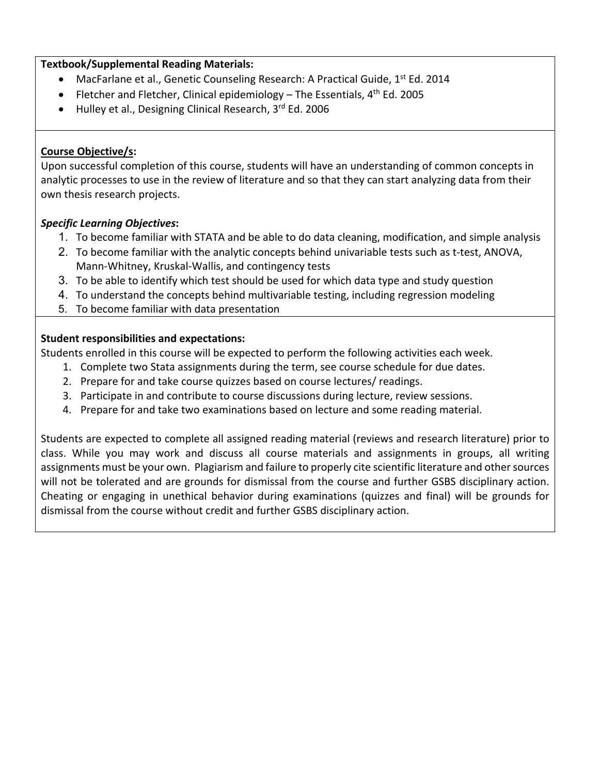### **Textbook/Supplemental Reading Materials:**

- MacFarlane et al., Genetic Counseling Research: A Practical Guide,  $1^{st}$  Ed. 2014
- Fletcher and Fletcher, Clinical epidemiology The Essentials,  $4<sup>th</sup>$  Ed. 2005
- Hulley et al., Designing Clinical Research, 3rd Ed. 2006

# **Course Objective/s:**

Upon successful completion of this course, students will have an understanding of common concepts in analytic processes to use in the review of literature and so that they can start analyzing data from their own thesis research projects.

### *Specific Learning Objectives***:**

- 1. To become familiar with STATA and be able to do data cleaning, modification, and simple analysis
- 2. To become familiar with the analytic concepts behind univariable tests such as t-test, ANOVA, Mann-Whitney, Kruskal-Wallis, and contingency tests
- 3. To be able to identify which test should be used for which data type and study question
- 4. To understand the concepts behind multivariable testing, including regression modeling
- 5. To become familiar with data presentation

# **Student responsibilities and expectations:**

Students enrolled in this course will be expected to perform the following activities each week.

- 1. Complete two Stata assignments during the term, see course schedule for due dates.
- 2. Prepare for and take course quizzes based on course lectures/ readings.
- 3. Participate in and contribute to course discussions during lecture, review sessions.
- 4. Prepare for and take two examinations based on lecture and some reading material.

Students are expected to complete all assigned reading material (reviews and research literature) prior to class. While you may work and discuss all course materials and assignments in groups, all writing assignments must be your own. Plagiarism and failure to properly cite scientific literature and other sources will not be tolerated and are grounds for dismissal from the course and further GSBS disciplinary action. Cheating or engaging in unethical behavior during examinations (quizzes and final) will be grounds for dismissal from the course without credit and further GSBS disciplinary action.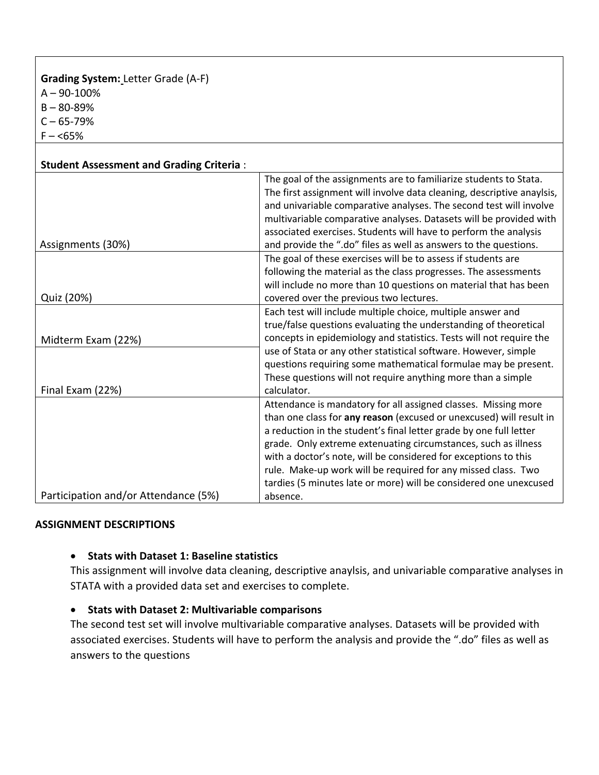#### **Grading System:** Letter Grade (A-F)  $A - 90 - 100%$

B – 80-89%

 $C - 65 - 79%$ 

 $F - 55\%$ 

| <b>Student Assessment and Grading Criteria:</b> |                                                                                                                                                                                                                                                                                                                                                             |
|-------------------------------------------------|-------------------------------------------------------------------------------------------------------------------------------------------------------------------------------------------------------------------------------------------------------------------------------------------------------------------------------------------------------------|
|                                                 | The goal of the assignments are to familiarize students to Stata.<br>The first assignment will involve data cleaning, descriptive anaylsis,<br>and univariable comparative analyses. The second test will involve<br>multivariable comparative analyses. Datasets will be provided with<br>associated exercises. Students will have to perform the analysis |
| Assignments (30%)                               | and provide the ".do" files as well as answers to the questions.                                                                                                                                                                                                                                                                                            |
| Quiz (20%)                                      | The goal of these exercises will be to assess if students are<br>following the material as the class progresses. The assessments<br>will include no more than 10 questions on material that has been<br>covered over the previous two lectures.                                                                                                             |
|                                                 | Each test will include multiple choice, multiple answer and                                                                                                                                                                                                                                                                                                 |
|                                                 | true/false questions evaluating the understanding of theoretical                                                                                                                                                                                                                                                                                            |
| Midterm Exam (22%)                              | concepts in epidemiology and statistics. Tests will not require the                                                                                                                                                                                                                                                                                         |
| Final Exam (22%)                                | use of Stata or any other statistical software. However, simple<br>questions requiring some mathematical formulae may be present.<br>These questions will not require anything more than a simple<br>calculator.                                                                                                                                            |
|                                                 | Attendance is mandatory for all assigned classes. Missing more                                                                                                                                                                                                                                                                                              |
|                                                 | than one class for any reason (excused or unexcused) will result in<br>a reduction in the student's final letter grade by one full letter                                                                                                                                                                                                                   |
|                                                 | grade. Only extreme extenuating circumstances, such as illness                                                                                                                                                                                                                                                                                              |
|                                                 | with a doctor's note, will be considered for exceptions to this                                                                                                                                                                                                                                                                                             |
|                                                 | rule. Make-up work will be required for any missed class. Two                                                                                                                                                                                                                                                                                               |
|                                                 | tardies (5 minutes late or more) will be considered one unexcused                                                                                                                                                                                                                                                                                           |
| Participation and/or Attendance (5%)            | absence.                                                                                                                                                                                                                                                                                                                                                    |

#### **ASSIGNMENT DESCRIPTIONS**

#### • **Stats with Dataset 1: Baseline statistics**

This assignment will involve data cleaning, descriptive anaylsis, and univariable comparative analyses in STATA with a provided data set and exercises to complete.

# • **Stats with Dataset 2: Multivariable comparisons**

The second test set will involve multivariable comparative analyses. Datasets will be provided with associated exercises. Students will have to perform the analysis and provide the ".do" files as well as answers to the questions